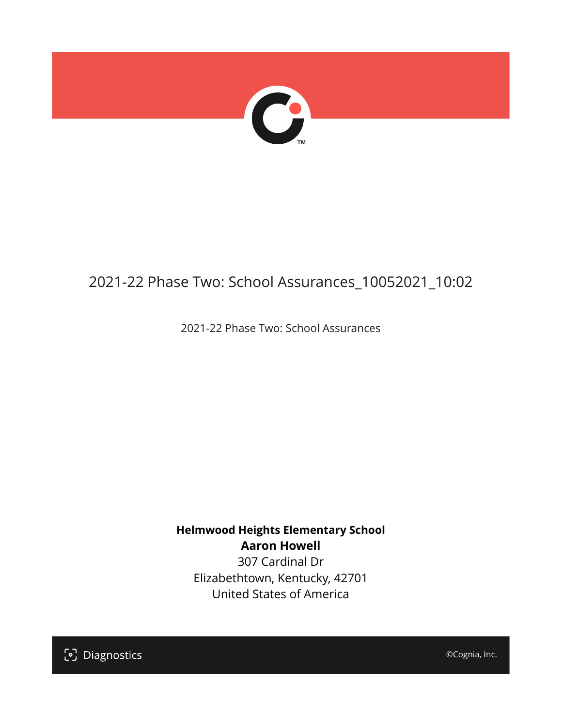

# 2021-22 Phase Two: School Assurances\_10052021\_10:02

2021-22 Phase Two: School Assurances

**Helmwood Heights Elementary School Aaron Howell** 307 Cardinal Dr

Elizabethtown, Kentucky, 42701 United States of America

[၁] Diagnostics

©Cognia, Inc.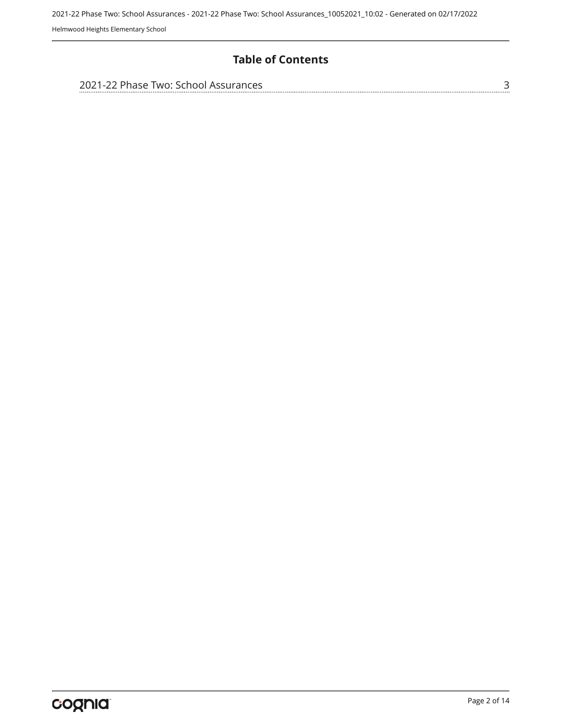### **Table of Contents**

| 2021-22 Phase Two: School Assurances |  |
|--------------------------------------|--|
|                                      |  |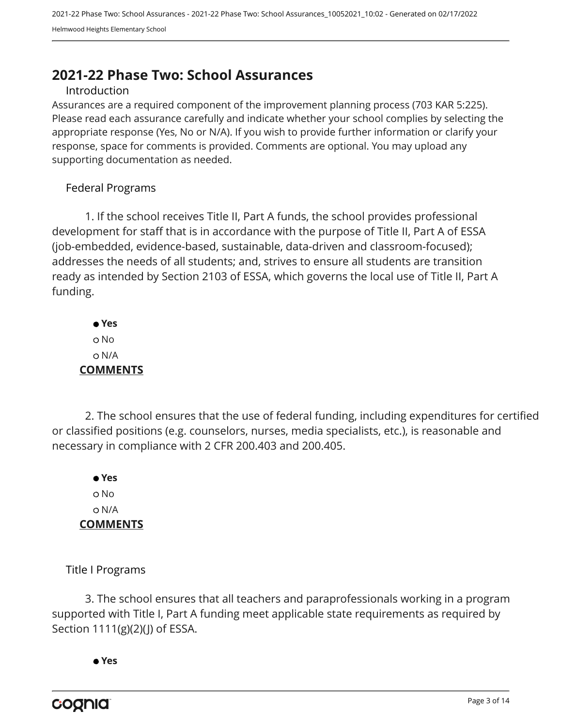# <span id="page-2-0"></span>**2021-22 Phase Two: School Assurances**

#### Introduction

Assurances are a required component of the improvement planning process (703 KAR 5:225). Please read each assurance carefully and indicate whether your school complies by selecting the appropriate response (Yes, No or N/A). If you wish to provide further information or clarify your response, space for comments is provided. Comments are optional. You may upload any supporting documentation as needed.

#### Federal Programs

1. If the school receives Title II, Part A funds, the school provides professional development for staff that is in accordance with the purpose of Title II, Part A of ESSA (job-embedded, evidence-based, sustainable, data-driven and classroom-focused); addresses the needs of all students; and, strives to ensure all students are transition ready as intended by Section 2103 of ESSA, which governs the local use of Title II, Part A funding.

 **Yes** o No N/A **COMMENTS**

2. The school ensures that the use of federal funding, including expenditures for certified or classified positions (e.g. counselors, nurses, media specialists, etc.), is reasonable and necessary in compliance with 2 CFR 200.403 and 200.405.

 **Yes** o No N/A **COMMENTS**

Title I Programs

3. The school ensures that all teachers and paraprofessionals working in a program supported with Title I, Part A funding meet applicable state requirements as required by Section 1111(g)(2)(J) of ESSA.

 **Yes**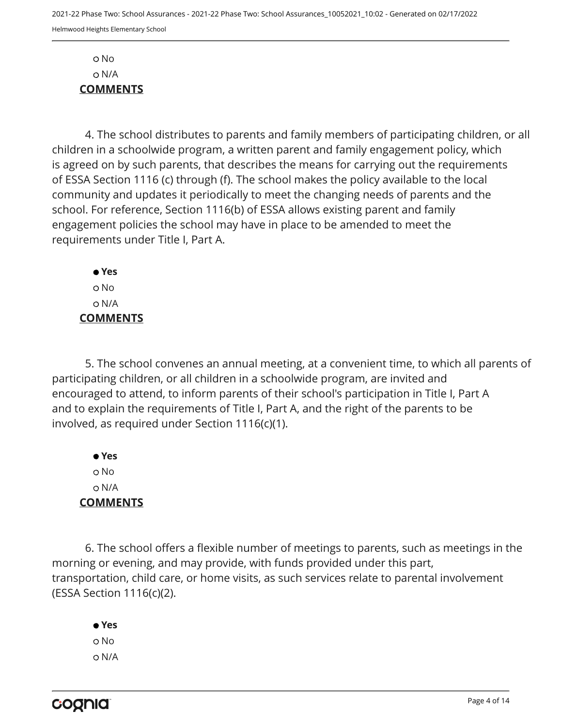No N/A **COMMENTS**

4. The school distributes to parents and family members of participating children, or all children in a schoolwide program, a written parent and family engagement policy, which is agreed on by such parents, that describes the means for carrying out the requirements of ESSA Section 1116 (c) through (f). The school makes the policy available to the local community and updates it periodically to meet the changing needs of parents and the school. For reference, Section 1116(b) of ESSA allows existing parent and family engagement policies the school may have in place to be amended to meet the requirements under Title I, Part A.

 **Yes** No N/A **COMMENTS**

5. The school convenes an annual meeting, at a convenient time, to which all parents of participating children, or all children in a schoolwide program, are invited and encouraged to attend, to inform parents of their school's participation in Title I, Part A and to explain the requirements of Title I, Part A, and the right of the parents to be involved, as required under Section 1116(c)(1).

 **Yes** o No N/A **COMMENTS**

6. The school offers a flexible number of meetings to parents, such as meetings in the morning or evening, and may provide, with funds provided under this part, transportation, child care, or home visits, as such services relate to parental involvement (ESSA Section 1116(c)(2).

 **Yes** o No N/A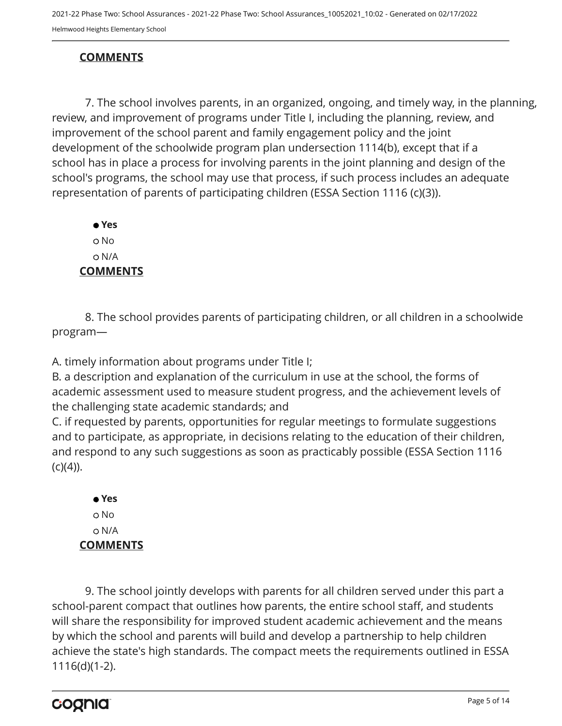## **COMMENTS**

7. The school involves parents, in an organized, ongoing, and timely way, in the planning, review, and improvement of programs under Title I, including the planning, review, and improvement of the school parent and family engagement policy and the joint development of the schoolwide program plan undersection 1114(b), except that if a school has in place a process for involving parents in the joint planning and design of the school's programs, the school may use that process, if such process includes an adequate representation of parents of participating children (ESSA Section 1116 (c)(3)).

 **Yes** o No N/A **COMMENTS**

8. The school provides parents of participating children, or all children in a schoolwide program—

A. timely information about programs under Title I;

B. a description and explanation of the curriculum in use at the school, the forms of academic assessment used to measure student progress, and the achievement levels of the challenging state academic standards; and

C. if requested by parents, opportunities for regular meetings to formulate suggestions and to participate, as appropriate, in decisions relating to the education of their children, and respond to any such suggestions as soon as practicably possible (ESSA Section 1116  $(c)(4)$ ).

 **Yes** o No N/A **COMMENTS**

9. The school jointly develops with parents for all children served under this part a school-parent compact that outlines how parents, the entire school staff, and students will share the responsibility for improved student academic achievement and the means by which the school and parents will build and develop a partnership to help children achieve the state's high standards. The compact meets the requirements outlined in ESSA 1116(d)(1-2).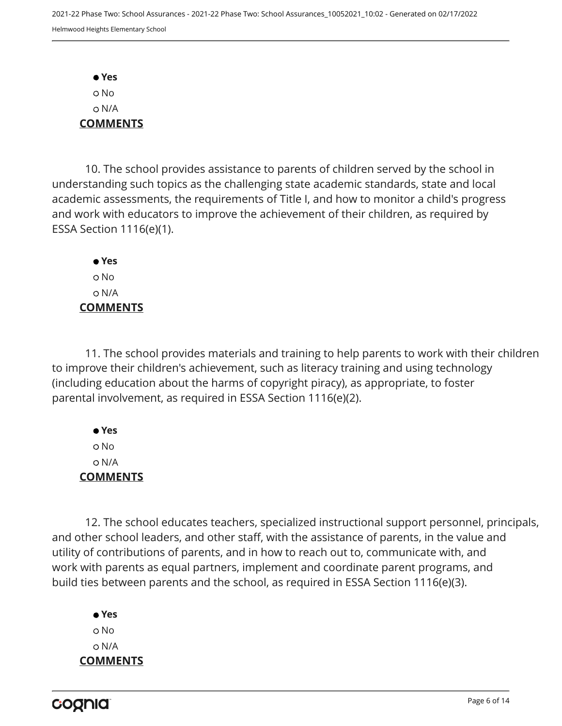**Yes** No N/A **COMMENTS**

10. The school provides assistance to parents of children served by the school in understanding such topics as the challenging state academic standards, state and local academic assessments, the requirements of Title I, and how to monitor a child's progress and work with educators to improve the achievement of their children, as required by ESSA Section 1116(e)(1).

 **Yes** o No N/A **COMMENTS**

11. The school provides materials and training to help parents to work with their children to improve their children's achievement, such as literacy training and using technology (including education about the harms of copyright piracy), as appropriate, to foster parental involvement, as required in ESSA Section 1116(e)(2).

 **Yes** No N/A **COMMENTS**

12. The school educates teachers, specialized instructional support personnel, principals, and other school leaders, and other staff, with the assistance of parents, in the value and utility of contributions of parents, and in how to reach out to, communicate with, and work with parents as equal partners, implement and coordinate parent programs, and build ties between parents and the school, as required in ESSA Section 1116(e)(3).

 **Yes** o No N/A **COMMENTS**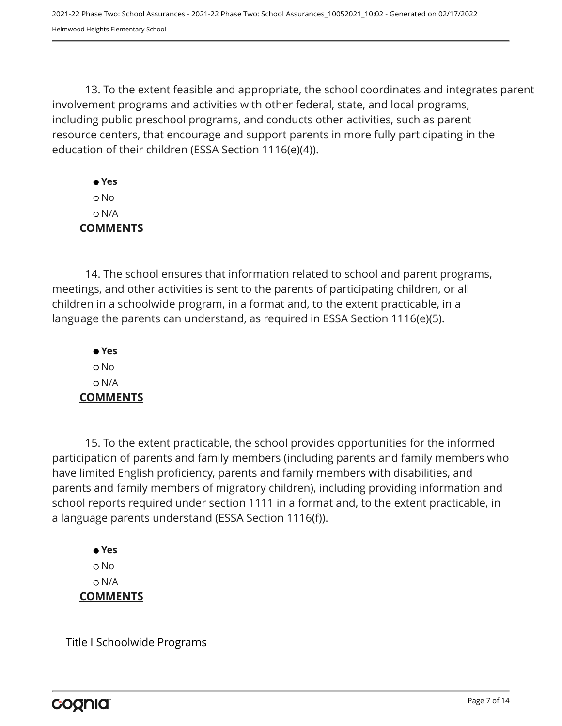13. To the extent feasible and appropriate, the school coordinates and integrates parent involvement programs and activities with other federal, state, and local programs, including public preschool programs, and conducts other activities, such as parent resource centers, that encourage and support parents in more fully participating in the education of their children (ESSA Section 1116(e)(4)).

 **Yes** No N/A **COMMENTS**

14. The school ensures that information related to school and parent programs, meetings, and other activities is sent to the parents of participating children, or all children in a schoolwide program, in a format and, to the extent practicable, in a language the parents can understand, as required in ESSA Section 1116(e)(5).

 **Yes** o No N/A **COMMENTS**

15. To the extent practicable, the school provides opportunities for the informed participation of parents and family members (including parents and family members who have limited English proficiency, parents and family members with disabilities, and parents and family members of migratory children), including providing information and school reports required under section 1111 in a format and, to the extent practicable, in a language parents understand (ESSA Section 1116(f)).

 **Yes** o No N/A **COMMENTS**

Title I Schoolwide Programs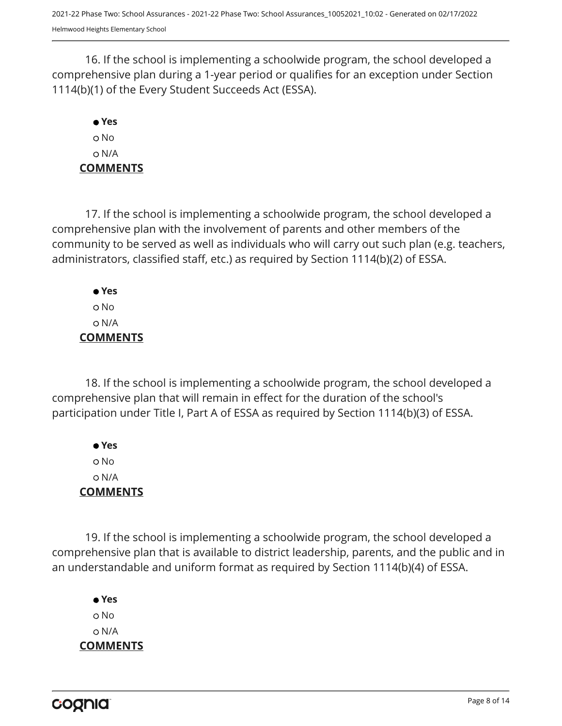16. If the school is implementing a schoolwide program, the school developed a comprehensive plan during a 1-year period or qualifies for an exception under Section 1114(b)(1) of the Every Student Succeeds Act (ESSA).

# **Yes** No N/A **COMMENTS**

17. If the school is implementing a schoolwide program, the school developed a comprehensive plan with the involvement of parents and other members of the community to be served as well as individuals who will carry out such plan (e.g. teachers, administrators, classified staff, etc.) as required by Section 1114(b)(2) of ESSA.

 **Yes** No N/A **COMMENTS**

18. If the school is implementing a schoolwide program, the school developed a comprehensive plan that will remain in effect for the duration of the school's participation under Title I, Part A of ESSA as required by Section 1114(b)(3) of ESSA.

 **Yes** No N/A **COMMENTS**

19. If the school is implementing a schoolwide program, the school developed a comprehensive plan that is available to district leadership, parents, and the public and in an understandable and uniform format as required by Section 1114(b)(4) of ESSA.

 **Yes** o No N/A **COMMENTS**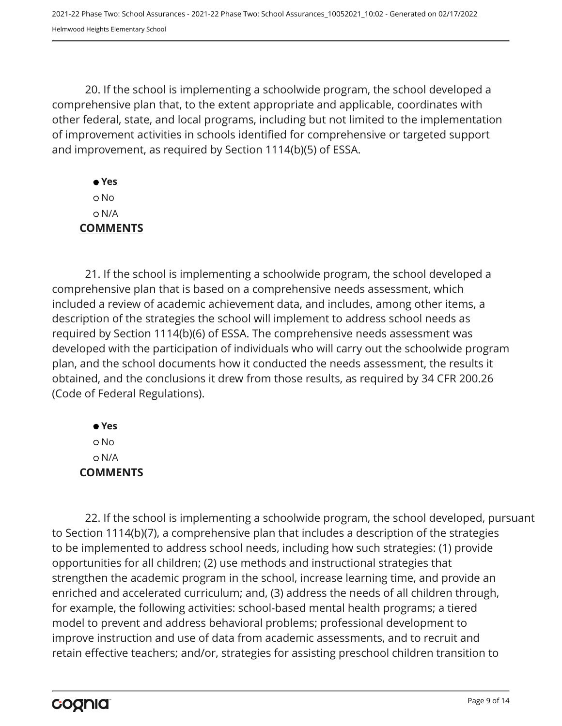20. If the school is implementing a schoolwide program, the school developed a comprehensive plan that, to the extent appropriate and applicable, coordinates with other federal, state, and local programs, including but not limited to the implementation of improvement activities in schools identified for comprehensive or targeted support and improvement, as required by Section 1114(b)(5) of ESSA.

 **Yes** No N/A **COMMENTS**

21. If the school is implementing a schoolwide program, the school developed a comprehensive plan that is based on a comprehensive needs assessment, which included a review of academic achievement data, and includes, among other items, a description of the strategies the school will implement to address school needs as required by Section 1114(b)(6) of ESSA. The comprehensive needs assessment was developed with the participation of individuals who will carry out the schoolwide program plan, and the school documents how it conducted the needs assessment, the results it obtained, and the conclusions it drew from those results, as required by 34 CFR 200.26 (Code of Federal Regulations).

 **Yes** No N/A **COMMENTS**

22. If the school is implementing a schoolwide program, the school developed, pursuant to Section 1114(b)(7), a comprehensive plan that includes a description of the strategies to be implemented to address school needs, including how such strategies: (1) provide opportunities for all children; (2) use methods and instructional strategies that strengthen the academic program in the school, increase learning time, and provide an enriched and accelerated curriculum; and, (3) address the needs of all children through, for example, the following activities: school-based mental health programs; a tiered model to prevent and address behavioral problems; professional development to improve instruction and use of data from academic assessments, and to recruit and retain effective teachers; and/or, strategies for assisting preschool children transition to

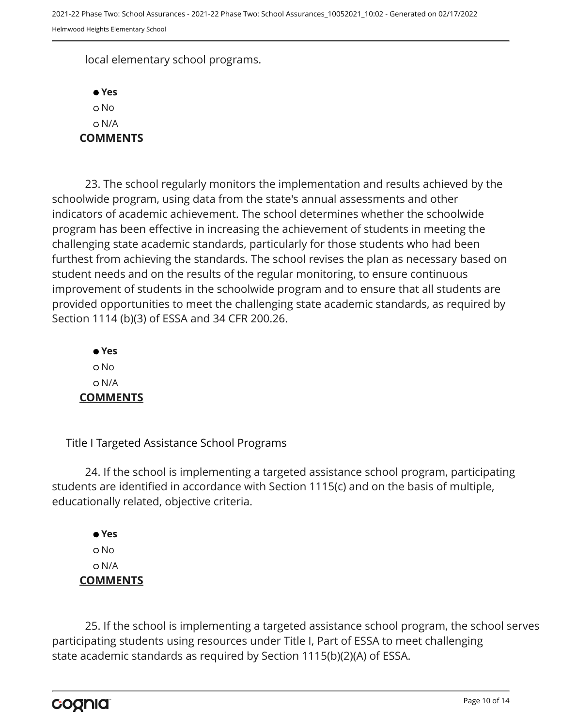local elementary school programs.

 **Yes** o No N/A **COMMENTS**

23. The school regularly monitors the implementation and results achieved by the schoolwide program, using data from the state's annual assessments and other indicators of academic achievement. The school determines whether the schoolwide program has been effective in increasing the achievement of students in meeting the challenging state academic standards, particularly for those students who had been furthest from achieving the standards. The school revises the plan as necessary based on student needs and on the results of the regular monitoring, to ensure continuous improvement of students in the schoolwide program and to ensure that all students are provided opportunities to meet the challenging state academic standards, as required by Section 1114 (b)(3) of ESSA and 34 CFR 200.26.

 **Yes** o No N/A **COMMENTS**

Title I Targeted Assistance School Programs

24. If the school is implementing a targeted assistance school program, participating students are identified in accordance with Section 1115(c) and on the basis of multiple, educationally related, objective criteria.

 **Yes** o No N/A **COMMENTS**

25. If the school is implementing a targeted assistance school program, the school serves participating students using resources under Title I, Part of ESSA to meet challenging state academic standards as required by Section 1115(b)(2)(A) of ESSA.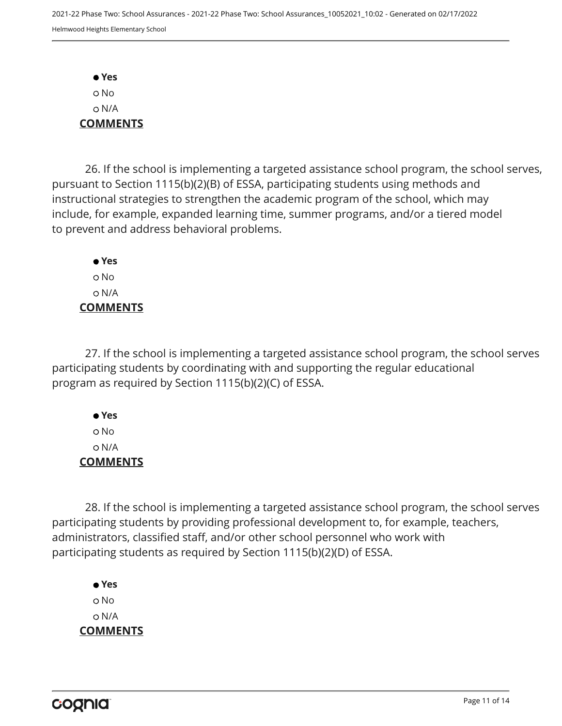**Yes** No N/A **COMMENTS**

26. If the school is implementing a targeted assistance school program, the school serves, pursuant to Section 1115(b)(2)(B) of ESSA, participating students using methods and instructional strategies to strengthen the academic program of the school, which may include, for example, expanded learning time, summer programs, and/or a tiered model to prevent and address behavioral problems.

 **Yes** o No N/A **COMMENTS**

27. If the school is implementing a targeted assistance school program, the school serves participating students by coordinating with and supporting the regular educational program as required by Section 1115(b)(2)(C) of ESSA.

 **Yes** No N/A **COMMENTS**

28. If the school is implementing a targeted assistance school program, the school serves participating students by providing professional development to, for example, teachers, administrators, classified staff, and/or other school personnel who work with participating students as required by Section 1115(b)(2)(D) of ESSA.

 **Yes** o No N/A **COMMENTS**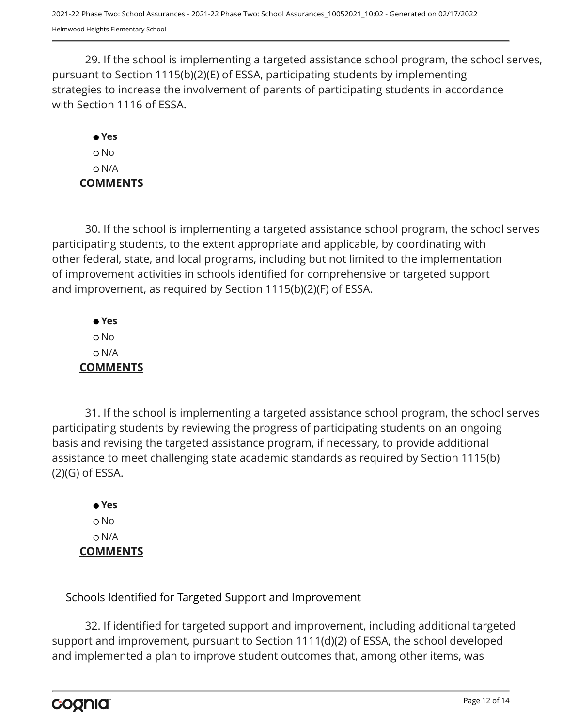29. If the school is implementing a targeted assistance school program, the school serves, pursuant to Section 1115(b)(2)(E) of ESSA, participating students by implementing strategies to increase the involvement of parents of participating students in accordance with Section 1116 of ESSA.

## **Yes** o No N/A **COMMENTS**

30. If the school is implementing a targeted assistance school program, the school serves participating students, to the extent appropriate and applicable, by coordinating with other federal, state, and local programs, including but not limited to the implementation of improvement activities in schools identified for comprehensive or targeted support and improvement, as required by Section 1115(b)(2)(F) of ESSA.

 **Yes** o No N/A **COMMENTS**

31. If the school is implementing a targeted assistance school program, the school serves participating students by reviewing the progress of participating students on an ongoing basis and revising the targeted assistance program, if necessary, to provide additional assistance to meet challenging state academic standards as required by Section 1115(b) (2)(G) of ESSA.

 **Yes** o No N/A **COMMENTS**

Schools Identified for Targeted Support and Improvement

32. If identified for targeted support and improvement, including additional targeted support and improvement, pursuant to Section 1111(d)(2) of ESSA, the school developed and implemented a plan to improve student outcomes that, among other items, was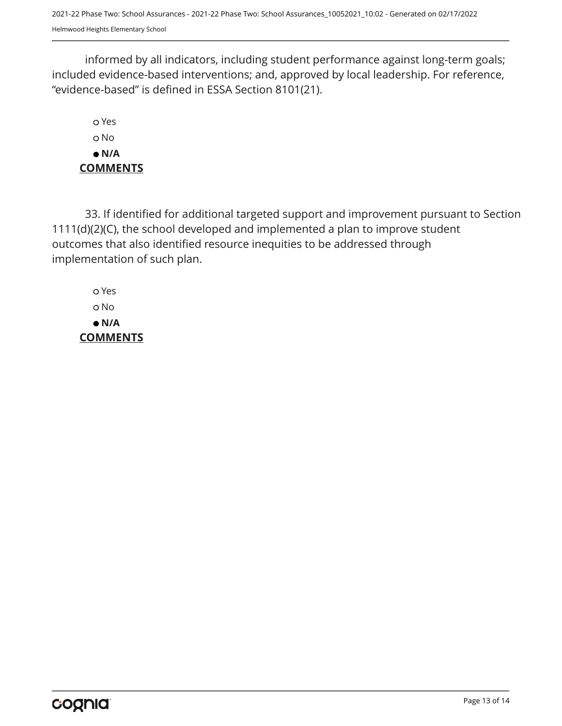informed by all indicators, including student performance against long-term goals; included evidence-based interventions; and, approved by local leadership. For reference, "evidence-based" is defined in ESSA Section 8101(21).

 Yes o No  **N/A COMMENTS**

33. If identified for additional targeted support and improvement pursuant to Section 1111(d)(2)(C), the school developed and implemented a plan to improve student outcomes that also identified resource inequities to be addressed through implementation of such plan.

 Yes No  **N/A COMMENTS**